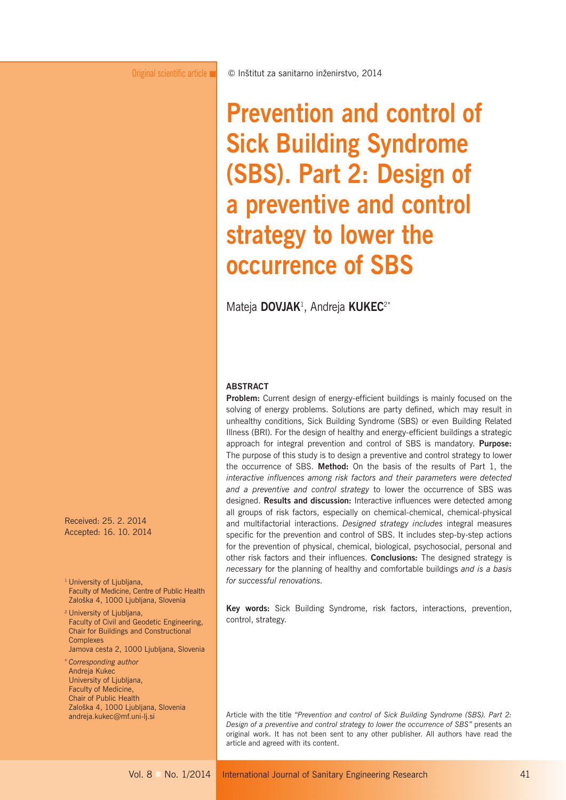# **Prevention and control of Sick Building Syndrome (SBS). Part 2: Design of a preventive and control strategy to lower the occurrence of SBS**

Mateja **DOVJAK**<sup>1</sup> , Andreja **KUKEC**2\*

#### **ABSTRACT**

**Problem:** Current design of energy-efficient buildings is mainly focused on the solving of energy problems. Solutions are party defined, which may result in unhealthy conditions, Sick Building Syndrome (SBS) or even Building Related Illness (BRI). For the design of healthy and energy-efficient buildings a strategic approach for integral prevention and control of SBS is mandatory. **Purpose:** The purpose of this study is to design a preventive and control strategy to lower the occurrence of SBS. **Method:** On the basis of the results of Part 1, the *interactive influences among risk factors and their parameters were detected and a preventive and control strategy* to lower the occurrence of SBS was designed. **Results and discussion:** Interactive influences were detected among all groups of risk factors, especially on chemical-chemical, chemical-physical and multifactorial interactions. *Designed strategy includes* integral measures specific for the prevention and control of SBS. It includes step-by-step actions for the prevention of physical, chemical, biological, psychosocial, personal and other risk factors and their influences. **Conclusions:** The designed strategy is *necessary* for the planning of healthy and comfortable buildings *and is a basis for successful renovations.* 

**Key words:** Sick Building Syndrome, risk factors, interactions, prevention, control, strategy.

Article with the title *"Prevention and control of Sick Building Syndrome (SBS). Part 2: Design of a preventive and control strategy to lower the occurrence of SBS"* presents an original work. It has not been sent to any other publisher. All authors have read the article and agreed with its content.

Received: 25. 2. 2014 Acc epted: 16. 10. 2014

<sup>1</sup> University of Ljubljana, Faculty of Medicine, Centre of Public Health Zaloška 4, 1000 Ljubljana, Slovenia

2 University of Ljubljana, Faculty of Civil and Geodetic Engineering, Chair for Buildings and Constructional **Complexes** 

Jamova cesta 2, 1000 Ljubljana, Slovenia

<sup>∗</sup>*Corresponding author* Andreja Kukec University of Ljubljana, Faculty of Medicine, Chair of Public Health Zaloška 4, 1000 Ljubljana, Slovenia andreja.kukec@mf.uni-lj.si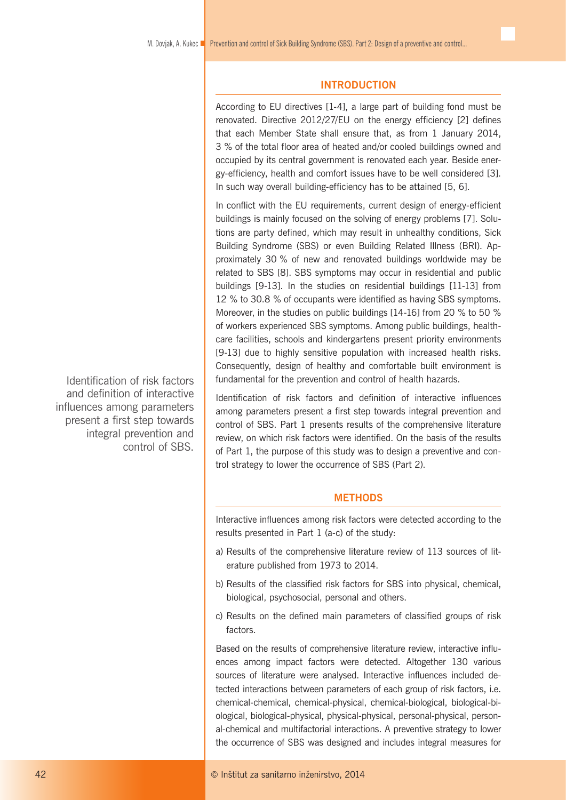## **INTRODUCTION**

According to EU directives [1-4], a large part of building fond must be renovated. Directive 2012/27/EU on the energy efficiency [2] defines that each Member State shall ensure that, as from 1 January 2014, 3 % of the total floor area of heated and/or cooled buildings owned and occupied by its central government is renovated each year. Beside energy-efficiency, health and comfort issues have to be well considered [3]. In such way overall building-efficiency has to be attained [5, 6].

In conflict with the EU requirements, current design of energy-efficient buildings is mainly focused on the solving of energy problems [7]. Solutions are party defined, which may result in unhealthy conditions, Sick Building Syndrome (SBS) or even Building Related Illness (BRI). Approximately 30 % of new and renovated buildings worldwide may be related to SBS [8]. SBS symptoms may occur in residential and public buildings [9-13]. In the studies on residential buildings [11-13] from 12 % to 30.8 % of occupants were identified as having SBS symptoms. Moreover, in the studies on public buildings [14-16] from 20 % to 50 % of workers experienced SBS symptoms. Among public buildings, healthcare facilities, schools and kindergartens present priority environments [9-13] due to highly sensitive population with increased health risks. Consequently, design of healthy and comfortable built environment is fundamental for the prevention and control of health hazards.

Identification of risk factors and definition of interactive influences among parameters present a first step towards integral prevention and control of SBS. Part 1 presents results of the comprehensive literature review, on which risk factors were identified. On the basis of the results of Part 1, the purpose of this study was to design a preventive and control strategy to lower the occurrence of SBS (Part 2).

### **METHODS**

Interactive influences among risk factors were detected according to the results presented in Part 1 (a-c) of the study:

- a) Results of the comprehensive literature review of 113 sources of literature published from 1973 to 2014.
- b) Results of the classified risk factors for SBS into physical, chemical, biological, psychosocial, personal and others.
- c) Results on the defined main parameters of classified groups of risk factors.

Based on the results of comprehensive literature review, interactive influences among impact factors were detected. Altogether 130 various sources of literature were analysed. Interactive influences included detected interactions between parameters of each group of risk factors, i.e. chemical-chemical, chemical-physical, chemical-biological, biological-biological, biological-physical, physical-physical, personal-physical, personal-chemical and multifactorial interactions. A preventive strategy to lower the occurrence of SBS was designed and includes integral measures for

Identification of risk factors and definition of interactive influences among parameters present a first step towards integral prevention and control of SBS.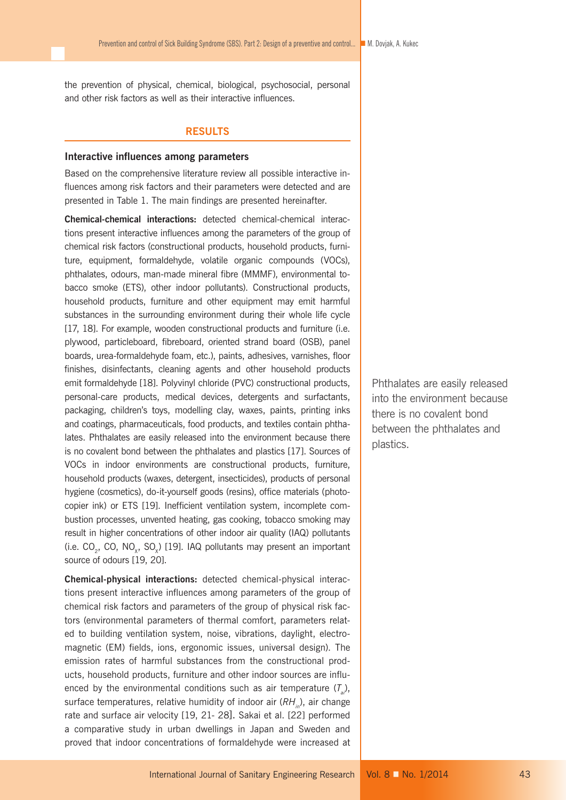the prevention of physical, chemical, biological, psychosocial, personal and other risk factors as well as their interactive influences.

#### **RESULTS**

#### **Interactive influences among parameters**

Based on the comprehensive literature review all possible interactive influences among risk factors and their parameters were detected and are presented in Table 1. The main findings are presented hereinafter.

**Chemical-chemical interactions:** detected chemical-chemical interactions present interactive influences among the parameters of the group of chemical risk factors (constructional products, household products, furniture, equipment, formaldehyde, volatile organic compounds (VOCs), phthalates, odours, man-made mineral fibre (MMMF), environmental tobacco smoke (ETS), other indoor pollutants). Constructional products, household products, furniture and other equipment may emit harmful substances in the surrounding environment during their whole life cycle [17, 18]. For example, wooden constructional products and furniture (i.e. plywood, particleboard, fibreboard, oriented strand board (OSB), panel boards, urea-formaldehyde foam, etc.), paints, adhesives, varnishes, floor finishes, disinfectants, cleaning agents and other household products emit formaldehyde [18]. Polyvinyl chloride (PVC) constructional products, personal-care products, medical devices, detergents and surfactants, packaging, children's toys, modelling clay, waxes, paints, printing inks and coatings, pharmaceuticals, food products, and textiles contain phthalates. Phthalates are easily released into the environment because there is no covalent bond between the phthalates and plastics [17]. Sources of VOCs in indoor environments are constructional products, furniture, household products (waxes, detergent, insecticides), products of personal hygiene (cosmetics), do-it-yourself goods (resins), office materials (photocopier ink) or ETS [19]. Inefficient ventilation system, incomplete combustion processes, unvented heating, gas cooking, tobacco smoking may result in higher concentrations of other indoor air quality (IAQ) pollutants (i.e.  $CO_2$ , CO, NO<sub>x</sub>, SO<sub>x</sub>) [19]. IAQ pollutants may present an important source of odours [19, 20].

**Chemical-physical interactions:** detected chemical-physical interactions present interactive influences among parameters of the group of chemical risk factors and parameters of the group of physical risk factors (environmental parameters of thermal comfort, parameters related to building ventilation system, noise, vibrations, daylight, electromagnetic (EM) fields, ions, ergonomic issues, universal design). The emission rates of harmful substances from the constructional products, household products, furniture and other indoor sources are influenced by the environmental conditions such as air temperature  $(T_a)$ , surface temperatures, relative humidity of indoor air (RH, ), air change rate and surface air velocity [19, 21- 28]. Sakai et al. [22] performed a comparative study in urban dwellings in Japan and Sweden and proved that indoor concentrations of formaldehyde were increased at Phthalates are easily released into the environment because there is no covalent bond between the phthalates and plastics.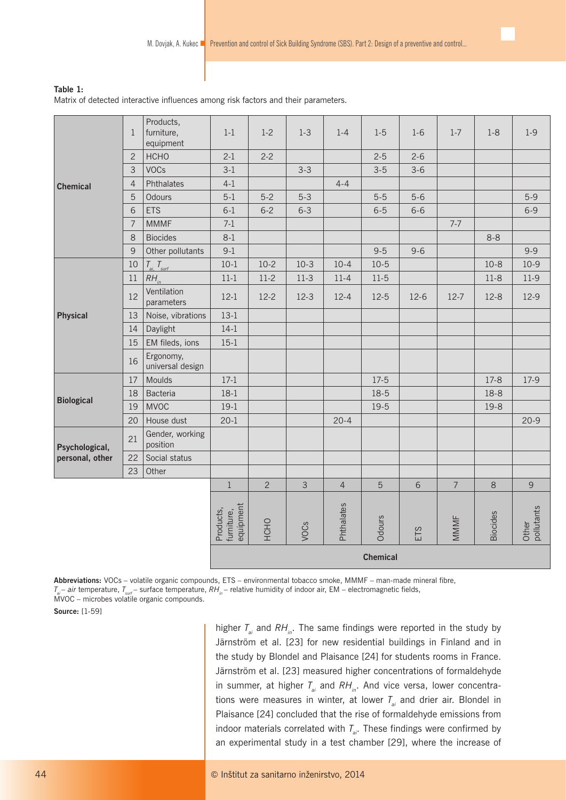# **Table 1:**

Matrix of detected interactive influences among risk factors and their parameters.

|                   | $\mathbf{1}$    | Products,<br>furniture,<br>equipment | $1-1$                                | $1 - 2$      | $1-3$          | $1 - 4$        | $1-5$    | $1-6$   | $1 - 7$        | $1 - 8$         | $1-9$               |
|-------------------|-----------------|--------------------------------------|--------------------------------------|--------------|----------------|----------------|----------|---------|----------------|-----------------|---------------------|
|                   | $\overline{c}$  | <b>HCHO</b>                          | $2-1$                                | $2 - 2$      |                |                | $2 - 5$  | $2 - 6$ |                |                 |                     |
|                   | 3               | <b>VOCs</b>                          | $3-1$                                |              | $3 - 3$        |                | $3 - 5$  | $3-6$   |                |                 |                     |
| <b>Chemical</b>   | $\overline{4}$  | Phthalates                           | $4 - 1$                              |              |                | $4 - 4$        |          |         |                |                 |                     |
|                   | 5               | Odours                               | $5-1$                                | $5-2$        | $5 - 3$        |                | $5-5$    | $5-6$   |                |                 | $5-9$               |
|                   | 6               | <b>ETS</b>                           | $6-1$                                | $6 - 2$      | $6 - 3$        |                | $6-5$    | $6 - 6$ |                |                 | $6 - 9$             |
|                   | $\overline{7}$  | <b>MMMF</b>                          | $7-1$                                |              |                |                |          |         | $7 - 7$        |                 |                     |
|                   | 8               | <b>Biocides</b>                      | $8-1$                                |              |                |                |          |         |                | $8 - 8$         |                     |
|                   | 9               | Other pollutants                     | $9-1$                                |              |                |                | $9 - 5$  | $9 - 6$ |                |                 | $9 - 9$             |
|                   | $10\,$          | $T_{ai}$ , $T_{surf}$                | $10 - 1$                             | $10 - 2$     | $10-3$         | $10 - 4$       | $10 - 5$ |         |                | $10 - 8$        | $10-9$              |
|                   | 11              | $RH_{in}$                            | $11 - 1$                             | $11-2$       | $11-3$         | $11 - 4$       | $11-5$   |         |                | $11-8$          | $11-9$              |
|                   | 12              | Ventilation<br>parameters            | $12-1$                               | $12 - 2$     | $12-3$         | $12 - 4$       | $12-5$   | $12-6$  | $12 - 7$       | $12-8$          | $12-9$              |
| <b>Physical</b>   | 13              | Noise, vibrations                    | $13-1$                               |              |                |                |          |         |                |                 |                     |
|                   | 14              | Daylight                             | $14-1$                               |              |                |                |          |         |                |                 |                     |
|                   | 15              | EM fileds, ions                      | $15-1$                               |              |                |                |          |         |                |                 |                     |
|                   | 16              | Ergonomy,<br>universal design        |                                      |              |                |                |          |         |                |                 |                     |
|                   | 17              | Moulds                               | $17-1$                               |              |                |                | $17-5$   |         |                | $17-8$          | 17-9                |
| <b>Biological</b> | 18              | <b>Bacteria</b>                      | $18-1$                               |              |                |                | $18-5$   |         |                | 18-8            |                     |
|                   | 19              | <b>MVOC</b>                          | $19-1$                               |              |                |                | $19-5$   |         |                | 19-8            |                     |
|                   | 20              | House dust                           | $20 - 1$                             |              |                | $20 - 4$       |          |         |                |                 | $20 - 9$            |
| Psychological,    | 21              | Gender, working<br>position          |                                      |              |                |                |          |         |                |                 |                     |
| personal, other   | 22              | Social status                        |                                      |              |                |                |          |         |                |                 |                     |
|                   | 23              | Other                                |                                      |              |                |                |          |         |                |                 |                     |
|                   |                 |                                      | $\mathbf{1}$                         | $\mathbf{2}$ | $\mathfrak{Z}$ | $\overline{4}$ | 5        | 6       | $\overline{7}$ | $\,8\,$         | 9                   |
|                   |                 |                                      | furniture,<br>equipment<br>Products, | HCHO         | VOCs           | Phthalates     | Odours   | ETS     | MMMF           | <b>Biocides</b> | pollutants<br>Other |
|                   | <b>Chemical</b> |                                      |                                      |              |                |                |          |         |                |                 |                     |

**Abbreviations:** VOCs – volatile organic compounds, ETS – environmental tobacco smoke, MMMF – man-made mineral fibre, *T<sub>ai</sub>* – air temperature, *T<sub>sur</sub>* – surface temperature, *RH<sub>in</sub>* – relative humidity of indoor air, EM – electromagnetic fields, MVOC – microbes volatile organic compounds.

**Source:** [1-59]

higher  $T_a$  and  $RH_{ia}$ . The same findings were reported in the study by Järnström et al. [23] for new residential buildings in Finland and in the study by Blondel and Plaisance [24] for students rooms in France. Järnström et al. [23] measured higher concentrations of formaldehyde in summer, at higher  $T_{ai}$  and  $RH_{in}$ . And vice versa, lower concentrations were measures in winter, at lower  $T_{ai}$  and drier air. Blondel in Plaisance [24] concluded that the rise of formaldehyde emissions from indoor materials correlated with  $T_{ai}$ . These findings were confirmed by an experimental study in a test chamber [29], where the increase of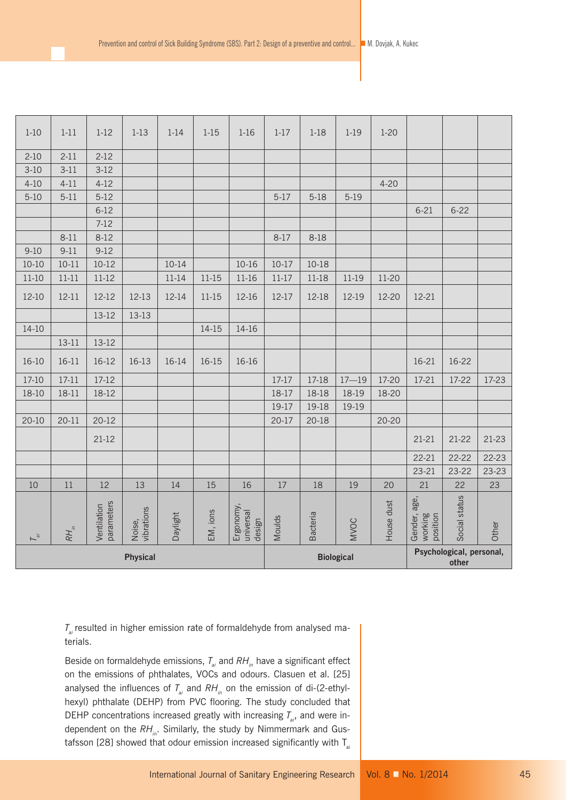| $1-10$          | $1 - 11$                     | $1-12$                    | $1 - 13$             | $1 - 14$  | $1 - 15$  | $1 - 16$                                               | $1 - 17$  | $1-18$    | $1 - 19$    | $1 - 20$   |                                     |               |           |
|-----------------|------------------------------|---------------------------|----------------------|-----------|-----------|--------------------------------------------------------|-----------|-----------|-------------|------------|-------------------------------------|---------------|-----------|
| $2-10$          | $2 - 11$                     | $2 - 12$                  |                      |           |           |                                                        |           |           |             |            |                                     |               |           |
| $3-10$          | $3-11$                       | $3-12$                    |                      |           |           |                                                        |           |           |             |            |                                     |               |           |
| $4 - 10$        | $4 - 11$                     | $4 - 12$                  |                      |           |           |                                                        |           |           |             | $4 - 20$   |                                     |               |           |
| $5 - 10$        | $5-11$                       | $5-12$                    |                      |           |           |                                                        | $5-17$    | $5-18$    | $5-19$      |            |                                     |               |           |
|                 |                              | $6-12$                    |                      |           |           |                                                        |           |           |             |            | $6 - 21$                            | $6 - 22$      |           |
|                 |                              | $7-12$                    |                      |           |           |                                                        |           |           |             |            |                                     |               |           |
|                 | $8 - 11$                     | $8-12$                    |                      |           |           |                                                        | $8-17$    | 8-18      |             |            |                                     |               |           |
| $9 - 10$        | $9 - 11$                     | $9-12$                    |                      |           |           |                                                        |           |           |             |            |                                     |               |           |
| $10 - 10$       | $10 - 11$                    | $10 - 12$                 |                      | $10 - 14$ |           | $10 - 16$                                              | $10-17$   | $10-18$   |             |            |                                     |               |           |
| $11-10$         | $11 - 11$                    | $11 - 12$                 |                      | 11-14     | 11-15     | 11-16                                                  | $11 - 17$ | $11-18$   | 11-19       | $11-20$    |                                     |               |           |
| 12-10           | $12 - 11$                    | 12-12                     | 12-13                | 12-14     | $11 - 15$ | 12-16                                                  | 12-17     | 12-18     | 12-19       | 12-20      | 12-21                               |               |           |
|                 |                              | 13-12                     | 13-13                |           |           |                                                        |           |           |             |            |                                     |               |           |
| $14-10$         |                              |                           |                      |           | $14-15$   | 14-16                                                  |           |           |             |            |                                     |               |           |
|                 | $13 - 11$                    | 13-12                     |                      |           |           |                                                        |           |           |             |            |                                     |               |           |
| $16-10$         | $16 - 11$                    | 16-12                     | 16-13                | 16-14     | 16-15     | 16-16                                                  |           |           |             |            | $16-21$                             | 16-22         |           |
| 17-10           | $17 - 11$                    | $17-12$                   |                      |           |           |                                                        | 17-17     | 17-18     | $17 - 19$   | 17-20      | 17-21                               | 17-22         | 17-23     |
| 18-10           | 18-11                        | 18-12                     |                      |           |           |                                                        | 18-17     | 18-18     | 18-19       | 18-20      |                                     |               |           |
|                 |                              |                           |                      |           |           |                                                        | 19-17     | 19-18     | 19-19       |            |                                     |               |           |
| $20 - 10$       | $20 - 11$                    | $20 - 12$                 |                      |           |           |                                                        | $20-17$   | $20 - 18$ |             | $20 - 20$  |                                     |               |           |
|                 |                              | $21-12$                   |                      |           |           |                                                        |           |           |             |            | $21 - 21$                           | $21 - 22$     | $21-23$   |
|                 |                              |                           |                      |           |           |                                                        |           |           |             |            | $22 - 21$                           | $22 - 22$     | $22 - 23$ |
|                 |                              |                           |                      |           |           |                                                        |           |           |             |            | $23 - 21$                           | 23-22         | 23-23     |
| 10              | $11\,$                       | 12                        | 13                   | 14        | 15        | 16                                                     | 17        | 18        | 19          | 20         | 21                                  | 22            | 23        |
| $\overline{L}$  | $RH_{\scriptscriptstyle in}$ | parameters<br>Ventilation | vibrations<br>Noise, | Daylight  | EM, ions  | Ergonomy,<br>universal<br>design                       | Moulds    | Bacteria  | <b>NVOC</b> | House dust | Gender, age,<br>working<br>position | Social status | Other     |
| <b>Physical</b> |                              |                           |                      |           |           | Psychological, personal,<br><b>Biological</b><br>other |           |           |             |            |                                     |               |           |

*T<sub>ai</sub>* resulted in higher emission rate of formaldehyde from analysed materials.

Beside on formaldehyde emissions,  $T_{ai}$  and  $RH_{in}$  have a significant effect on the emissions of phthalates, VOCs and odours. Clasuen et al. [25] analysed the influences of  $T_{ai}$  and  $RH_{in}$  on the emission of di-(2-ethylhexyl) phthalate (DEHP) from PVC flooring. The study concluded that DEHP concentrations increased greatly with increasing  $T_{a,i}$  and were independent on the RH<sub>in</sub>. Similarly, the study by Nimmermark and Gustafsson [28] showed that odour emission increased significantly with  $T_a$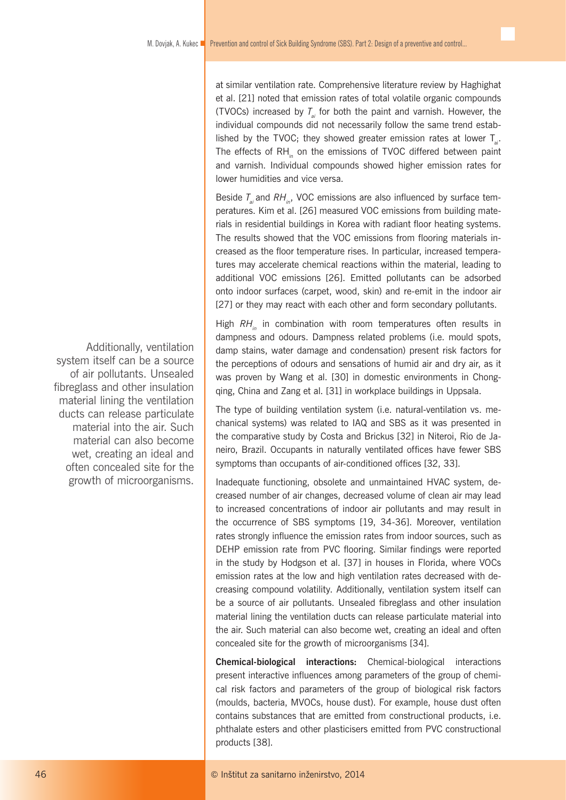at similar ventilation rate. Comprehensive literature review by Haghighat et al. [21] noted that emission rates of total volatile organic compounds (TVOCs) increased by  $T_{ai}$  for both the paint and varnish. However, the individual compounds did not necessarily follow the same trend established by the TVOC; they showed greater emission rates at lower  $T_a$ . The effects of RH<sub>in</sub> on the emissions of TVOC differed between paint and varnish. Individual compounds showed higher emission rates for lower humidities and vice versa.

Beside  $T_{ai}$  and  $RH_{in}$ , VOC emissions are also influenced by surface temperatures. Kim et al. [26] measured VOC emissions from building materials in residential buildings in Korea with radiant floor heating systems. The results showed that the VOC emissions from flooring materials increased as the floor temperature rises. In particular, increased temperatures may accelerate chemical reactions within the material, leading to additional VOC emissions [26]. Emitted pollutants can be adsorbed onto indoor surfaces (carpet, wood, skin) and re-emit in the indoor air [27] or they may react with each other and form secondary pollutants.

High *RH<sub>in</sub>* in combination with room temperatures often results in dampness and odours. Dampness related problems (i.e. mould spots, damp stains, water damage and condensation) present risk factors for the perceptions of odours and sensations of humid air and dry air, as it was proven by Wang et al. [30] in domestic environments in Chongqing, China and Zang et al. [31] in workplace buildings in Uppsala.

The type of building ventilation system (i.e. natural-ventilation vs. mechanical systems) was related to IAQ and SBS as it was presented in the comparative study by Costa and Brickus [32] in Niteroi, Rio de Janeiro, Brazil. Occupants in naturally ventilated offices have fewer SBS symptoms than occupants of air-conditioned offices [32, 33].

Inadequate functioning, obsolete and unmaintained HVAC system, decreased number of air changes, decreased volume of clean air may lead to increased concentrations of indoor air pollutants and may result in the occurrence of SBS symptoms [19, 34-36]. Moreover, ventilation rates strongly influence the emission rates from indoor sources, such as DEHP emission rate from PVC flooring. Similar findings were reported in the study by Hodgson et al. [37] in houses in Florida, where VOCs emission rates at the low and high ventilation rates decreased with decreasing compound volatility. Additionally, ventilation system itself can be a source of air pollutants. Unsealed fibreglass and other insulation material lining the ventilation ducts can release particulate material into the air. Such material can also become wet, creating an ideal and often concealed site for the growth of microorganisms [34].

**Chemical-biological interactions:** Chemical-biological interactions present interactive influences among parameters of the group of chemical risk factors and parameters of the group of biological risk factors (moulds, bacteria, MVOCs, house dust). For example, house dust often contains substances that are emitted from constructional products, i.e. phthalate esters and other plasticisers emitted from PVC constructional products [38].

Additionally, ventilation system itself can be a source of air pollutants. Unsealed fibreglass and other insulation material lining the ventilation ducts can release particulate material into the air. Such material can also become wet, creating an ideal and often concealed site for the growth of microorganisms.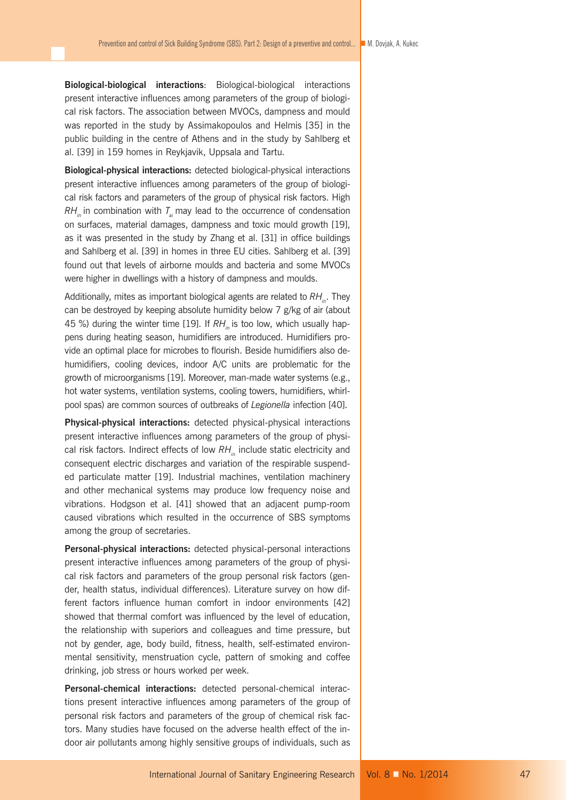**Biological-biological interactions**: Biological-biological interactions present interactive influences among parameters of the group of biological risk factors. The association between MVOCs, dampness and mould was reported in the study by Assimakopoulos and Helmis [35] in the public building in the centre of Athens and in the study by Sahlberg et al. [39] in 159 homes in Reykjavik, Uppsala and Tartu.

**Biological-physical interactions:** detected biological-physical interactions present interactive influences among parameters of the group of biological risk factors and parameters of the group of physical risk factors. High  $RH_{in}$  in combination with  $T_{in}$  may lead to the occurrence of condensation on surfaces, material damages, dampness and toxic mould growth [19], as it was presented in the study by Zhang et al. [31] in office buildings and Sahlberg et al. [39] in homes in three EU cities. Sahlberg et al. [39] found out that levels of airborne moulds and bacteria and some MVOCs were higher in dwellings with a history of dampness and moulds.

Additionally, mites as important biological agents are related to RH<sub>in</sub>. They can be destroyed by keeping absolute humidity below 7 g/kg of air (about 45 %) during the winter time [19]. If RH<sub>in</sub> is too low, which usually happens during heating season, humidifiers are introduced. Humidifiers provide an optimal place for microbes to flourish. Beside humidifiers also dehumidifiers, cooling devices, indoor A/C units are problematic for the growth of microorganisms [19]. Moreover, man-made water systems (e.g., hot water systems, ventilation systems, cooling towers, humidifiers, whirlpool spas) are common sources of outbreaks of *Legionella* infection [40].

**Physical-physical interactions:** detected physical-physical interactions present interactive influences among parameters of the group of physical risk factors. Indirect effects of low RH<sub>in</sub> include static electricity and consequent electric discharges and variation of the respirable suspended particulate matter [19]. Industrial machines, ventilation machinery and other mechanical systems may produce low frequency noise and vibrations. Hodgson et al. [41] showed that an adjacent pump-room caused vibrations which resulted in the occurrence of SBS symptoms among the group of secretaries.

**Personal-physical interactions:** detected physical-personal interactions present interactive influences among parameters of the group of physical risk factors and parameters of the group personal risk factors (gender, health status, individual differences). Literature survey on how different factors influence human comfort in indoor environments [42] showed that thermal comfort was influenced by the level of education, the relationship with superiors and colleagues and time pressure, but not by gender, age, body build, fitness, health, self-estimated environmental sensitivity, menstruation cycle, pattern of smoking and coffee drinking, job stress or hours worked per week.

**Personal-chemical interactions:** detected personal-chemical interactions present interactive influences among parameters of the group of personal risk factors and parameters of the group of chemical risk factors. Many studies have focused on the adverse health effect of the indoor air pollutants among highly sensitive groups of individuals, such as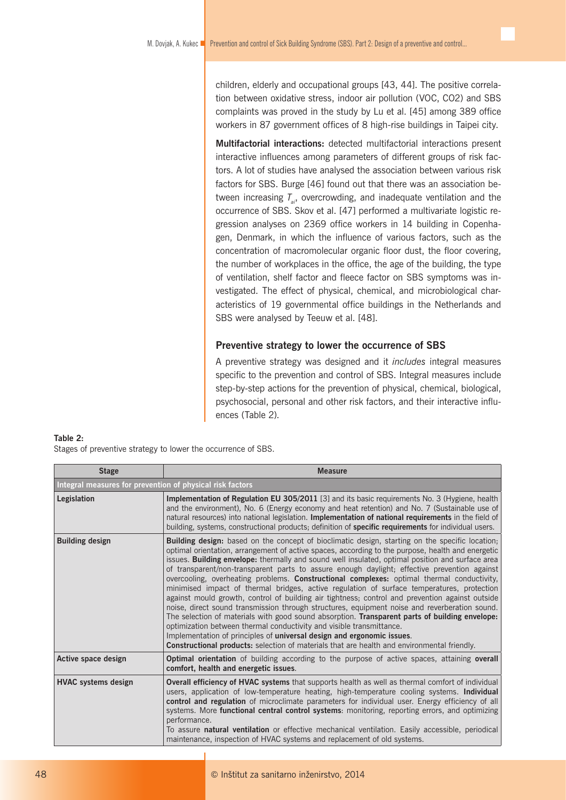children, elderly and occupational groups [43, 44]. The positive correlation between oxidative stress, indoor air pollution (VOC, CO2) and SBS complaints was proved in the study by Lu et al. [45] among 389 office workers in 87 government offices of 8 high-rise buildings in Taipei city.

**Multifactorial interactions:** detected multifactorial interactions present interactive influences among parameters of different groups of risk factors. A lot of studies have analysed the association between various risk factors for SBS. Burge [46] found out that there was an association between increasing  $T_{ai}$ , overcrowding, and inadequate ventilation and the occurrence of SBS. Skov et al. [47] performed a multivariate logistic regression analyses on 2369 office workers in 14 building in Copenhagen, Denmark, in which the influence of various factors, such as the concentration of macromolecular organic floor dust, the floor covering, the number of workplaces in the office, the age of the building, the type of ventilation, shelf factor and fleece factor on SBS symptoms was investigated. The effect of physical, chemical, and microbiological characteristics of 19 governmental office buildings in the Netherlands and SBS were analysed by Teeuw et al. [48].

# **Preventive strategy to lower the occurrence of SBS**

A preventive strategy was designed and it *includes* integral measures specific to the prevention and control of SBS. Integral measures include step-by-step actions for the prevention of physical, chemical, biological, psychosocial, personal and other risk factors, and their interactive influences (Table 2).

#### **Table 2:**

Stages of preventive strategy to lower the occurrence of SBS.

| <b>Stage</b>                                              | <b>Measure</b>                                                                                                                                                                                                                                                                                                                                                                                                                                                                                                                                                                                                                                                                                                                                                                                                                                                                                                                                                                                                                                                                                                                                                     |  |  |  |  |  |
|-----------------------------------------------------------|--------------------------------------------------------------------------------------------------------------------------------------------------------------------------------------------------------------------------------------------------------------------------------------------------------------------------------------------------------------------------------------------------------------------------------------------------------------------------------------------------------------------------------------------------------------------------------------------------------------------------------------------------------------------------------------------------------------------------------------------------------------------------------------------------------------------------------------------------------------------------------------------------------------------------------------------------------------------------------------------------------------------------------------------------------------------------------------------------------------------------------------------------------------------|--|--|--|--|--|
| Integral measures for prevention of physical risk factors |                                                                                                                                                                                                                                                                                                                                                                                                                                                                                                                                                                                                                                                                                                                                                                                                                                                                                                                                                                                                                                                                                                                                                                    |  |  |  |  |  |
| Legislation                                               | Implementation of Regulation EU 305/2011 [3] and its basic requirements No. 3 (Hygiene, health<br>and the environment), No. 6 (Energy economy and heat retention) and No. 7 (Sustainable use of<br>natural resources) into national legislation. <b>Implementation of national requirements</b> in the field of<br>building, systems, constructional products; definition of <b>specific requirements</b> for individual users.                                                                                                                                                                                                                                                                                                                                                                                                                                                                                                                                                                                                                                                                                                                                    |  |  |  |  |  |
| <b>Building design</b>                                    | <b>Building design:</b> based on the concept of bioclimatic design, starting on the specific location;<br>optimal orientation, arrangement of active spaces, according to the purpose, health and energetic<br>issues. Building envelope: thermally and sound well insulated, optimal position and surface area<br>of transparent/non-transparent parts to assure enough daylight; effective prevention against<br>overcooling, overheating problems. Constructional complexes: optimal thermal conductivity,<br>minimised impact of thermal bridges, active regulation of surface temperatures, protection<br>against mould growth, control of building air tightness; control and prevention against outside<br>noise, direct sound transmission through structures, equipment noise and reverberation sound.<br>The selection of materials with good sound absorption. Transparent parts of building envelope:<br>optimization between thermal conductivity and visible transmittance.<br>Implementation of principles of universal design and ergonomic issues.<br>Constructional products: selection of materials that are health and environmental friendly. |  |  |  |  |  |
| Active space design                                       | <b>Optimal orientation</b> of building according to the purpose of active spaces, attaining <b>overall</b><br>comfort, health and energetic issues.                                                                                                                                                                                                                                                                                                                                                                                                                                                                                                                                                                                                                                                                                                                                                                                                                                                                                                                                                                                                                |  |  |  |  |  |
| <b>HVAC</b> systems design                                | <b>Overall efficiency of HVAC systems</b> that supports health as well as thermal comfort of individual<br>users, application of low-temperature heating, high-temperature cooling systems. Individual<br>control and regulation of microclimate parameters for individual user. Energy efficiency of all<br>systems. More functional central control systems: monitoring, reporting errors, and optimizing<br>performance.<br>To assure natural ventilation or effective mechanical ventilation. Easily accessible, periodical<br>maintenance, inspection of HVAC systems and replacement of old systems.                                                                                                                                                                                                                                                                                                                                                                                                                                                                                                                                                         |  |  |  |  |  |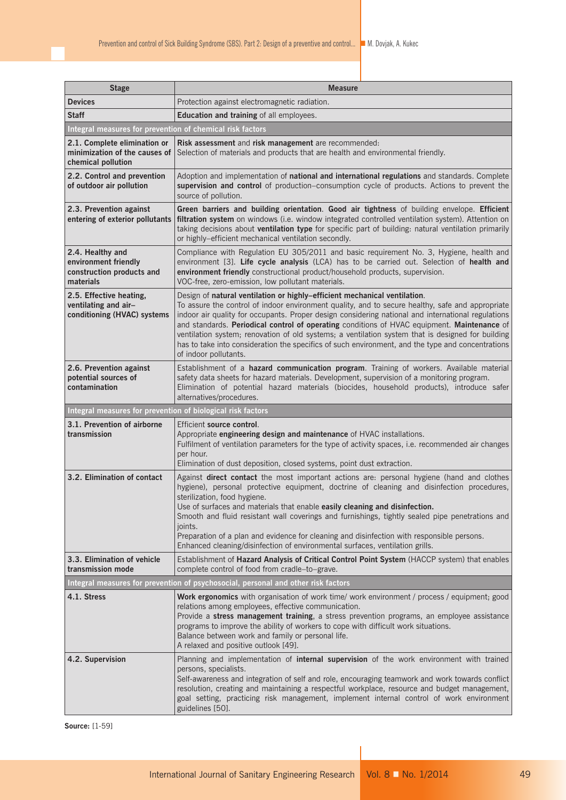| <b>Stage</b>                                                                        | <b>Measure</b>                                                                                                                                                                                                                                                                                                                                                                                                                                                                                                                                                                                                        |
|-------------------------------------------------------------------------------------|-----------------------------------------------------------------------------------------------------------------------------------------------------------------------------------------------------------------------------------------------------------------------------------------------------------------------------------------------------------------------------------------------------------------------------------------------------------------------------------------------------------------------------------------------------------------------------------------------------------------------|
| <b>Devices</b>                                                                      | Protection against electromagnetic radiation.                                                                                                                                                                                                                                                                                                                                                                                                                                                                                                                                                                         |
| <b>Staff</b>                                                                        | Education and training of all employees.                                                                                                                                                                                                                                                                                                                                                                                                                                                                                                                                                                              |
| Integral measures for prevention of chemical risk factors                           |                                                                                                                                                                                                                                                                                                                                                                                                                                                                                                                                                                                                                       |
| 2.1. Complete elimination or<br>minimization of the causes of<br>chemical pollution | Risk assessment and risk management are recommended:<br>Selection of materials and products that are health and environmental friendly.                                                                                                                                                                                                                                                                                                                                                                                                                                                                               |
| 2.2. Control and prevention<br>of outdoor air pollution                             | Adoption and implementation of national and international regulations and standards. Complete<br>supervision and control of production–consumption cycle of products. Actions to prevent the<br>source of pollution.                                                                                                                                                                                                                                                                                                                                                                                                  |
| 2.3. Prevention against<br>entering of exterior pollutants                          | Green barriers and building orientation. Good air tightness of building envelope. Efficient<br>filtration system on windows (i.e. window integrated controlled ventilation system). Attention on<br>taking decisions about ventilation type for specific part of building: natural ventilation primarily<br>or highly-efficient mechanical ventilation secondly.                                                                                                                                                                                                                                                      |
| 2.4. Healthy and<br>environment friendly<br>construction products and<br>materials  | Compliance with Regulation EU 305/2011 and basic requirement No. 3, Hygiene, health and<br>environment [3]. Life cycle analysis (LCA) has to be carried out. Selection of health and<br>environment friendly constructional product/household products, supervision.<br>VOC-free, zero-emission, low pollutant materials.                                                                                                                                                                                                                                                                                             |
| 2.5. Effective heating,<br>ventilating and air-<br>conditioning (HVAC) systems      | Design of natural ventilation or highly-efficient mechanical ventilation.<br>To assure the control of indoor environment quality, and to secure healthy, safe and appropriate<br>indoor air quality for occupants. Proper design considering national and international regulations<br>and standards. Periodical control of operating conditions of HVAC equipment. Maintenance of<br>ventilation system; renovation of old systems; a ventilation system that is designed for building<br>has to take into consideration the specifics of such environment, and the type and concentrations<br>of indoor pollutants. |
| 2.6. Prevention against<br>potential sources of<br>contamination                    | Establishment of a hazard communication program. Training of workers. Available material<br>safety data sheets for hazard materials. Development, supervision of a monitoring program.<br>Elimination of potential hazard materials (biocides, household products), introduce safer<br>alternatives/procedures.                                                                                                                                                                                                                                                                                                       |
| Integral measures for prevention of biological risk factors                         |                                                                                                                                                                                                                                                                                                                                                                                                                                                                                                                                                                                                                       |
| 3.1. Prevention of airborne<br>transmission                                         | Efficient source control.<br>Appropriate engineering design and maintenance of HVAC installations.<br>Fulfilment of ventilation parameters for the type of activity spaces, i.e. recommended air changes<br>per hour.<br>Elimination of dust deposition, closed systems, point dust extraction.                                                                                                                                                                                                                                                                                                                       |
| 3.2. Elimination of contact                                                         | Against direct contact the most important actions are: personal hygiene (hand and clothes<br>hygiene), personal protective equipment, doctrine of cleaning and disinfection procedures,<br>sterilization, food hygiene.<br>Use of surfaces and materials that enable easily cleaning and disinfection.<br>Smooth and fluid resistant wall coverings and furnishings, tightly sealed pipe penetrations and<br>joints.<br>Preparation of a plan and evidence for cleaning and disinfection with responsible persons.<br>Enhanced cleaning/disinfection of environmental surfaces, ventilation grills.                   |
| 3.3. Elimination of vehicle<br>transmission mode                                    | Establishment of Hazard Analysis of Critical Control Point System (HACCP system) that enables<br>complete control of food from cradle-to-grave.                                                                                                                                                                                                                                                                                                                                                                                                                                                                       |
|                                                                                     | Integral measures for prevention of psychosocial, personal and other risk factors                                                                                                                                                                                                                                                                                                                                                                                                                                                                                                                                     |
| 4.1. Stress                                                                         | Work ergonomics with organisation of work time/ work environment / process / equipment; good<br>relations among employees, effective communication.<br>Provide a stress management training, a stress prevention programs, an employee assistance<br>programs to improve the ability of workers to cope with difficult work situations.<br>Balance between work and family or personal life.<br>A relaxed and positive outlook [49].                                                                                                                                                                                  |
| 4.2. Supervision                                                                    | Planning and implementation of internal supervision of the work environment with trained<br>persons, specialists.<br>Self-awareness and integration of self and role, encouraging teamwork and work towards conflict<br>resolution, creating and maintaining a respectful workplace, resource and budget management,<br>goal setting, practicing risk management, implement internal control of work environment<br>guidelines [50].                                                                                                                                                                                  |

**Source:** [1-59]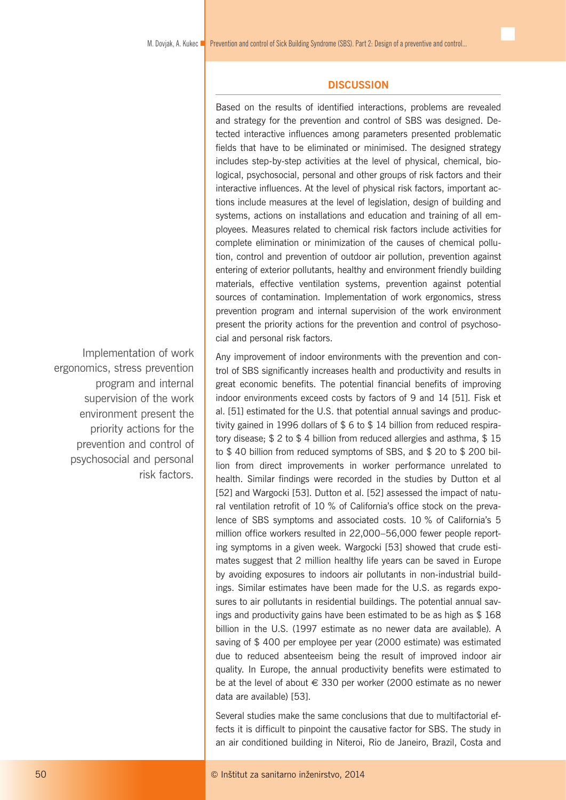# **DISCUSSION**

Based on the results of identified interactions, problems are revealed and strategy for the prevention and control of SBS was designed. Detected interactive influences among parameters presented problematic fields that have to be eliminated or minimised. The designed strategy includes step-by-step activities at the level of physical, chemical, biological, psychosocial, personal and other groups of risk factors and their interactive influences. At the level of physical risk factors, important actions include measures at the level of legislation, design of building and systems, actions on installations and education and training of all employees. Measures related to chemical risk factors include activities for complete elimination or minimization of the causes of chemical pollution, control and prevention of outdoor air pollution, prevention against entering of exterior pollutants, healthy and environment friendly building materials, effective ventilation systems, prevention against potential sources of contamination. Implementation of work ergonomics, stress prevention program and internal supervision of the work environment present the priority actions for the prevention and control of psychosocial and personal risk factors.

Any improvement of indoor environments with the prevention and control of SBS significantly increases health and productivity and results in great economic benefits. The potential financial benefits of improving indoor environments exceed costs by factors of 9 and 14 [51]. Fisk et al. [51] estimated for the U.S. that potential annual savings and productivity gained in 1996 dollars of \$ 6 to \$ 14 billion from reduced respiratory disease; \$ 2 to \$ 4 billion from reduced allergies and asthma, \$ 15 to \$ 40 billion from reduced symptoms of SBS, and \$ 20 to \$ 200 billion from direct improvements in worker performance unrelated to health. Similar findings were recorded in the studies by Dutton et al [52] and Wargocki [53]. Dutton et al. [52] assessed the impact of natural ventilation retrofit of 10 % of California's office stock on the prevalence of SBS symptoms and associated costs. 10 % of California's 5 million office workers resulted in 22,000–56,000 fewer people reporting symptoms in a given week. Wargocki [53] showed that crude estimates suggest that 2 million healthy life years can be saved in Europe by avoiding exposures to indoors air pollutants in non-industrial buildings. Similar estimates have been made for the U.S. as regards exposures to air pollutants in residential buildings. The potential annual savings and productivity gains have been estimated to be as high as \$ 168 billion in the U.S. (1997 estimate as no newer data are available). A saving of \$ 400 per employee per year (2000 estimate) was estimated due to reduced absenteeism being the result of improved indoor air quality. In Europe, the annual productivity benefits were estimated to be at the level of about  $\in$  330 per worker (2000 estimate as no newer data are available) [53].

Several studies make the same conclusions that due to multifactorial effects it is difficult to pinpoint the causative factor for SBS. The study in an air conditioned building in Niteroi, Rio de Janeiro, Brazil, Costa and

Implementation of work ergonomics, stress prevention program and internal supervision of the work environment present the priority actions for the prevention and control of psychosocial and personal risk factors.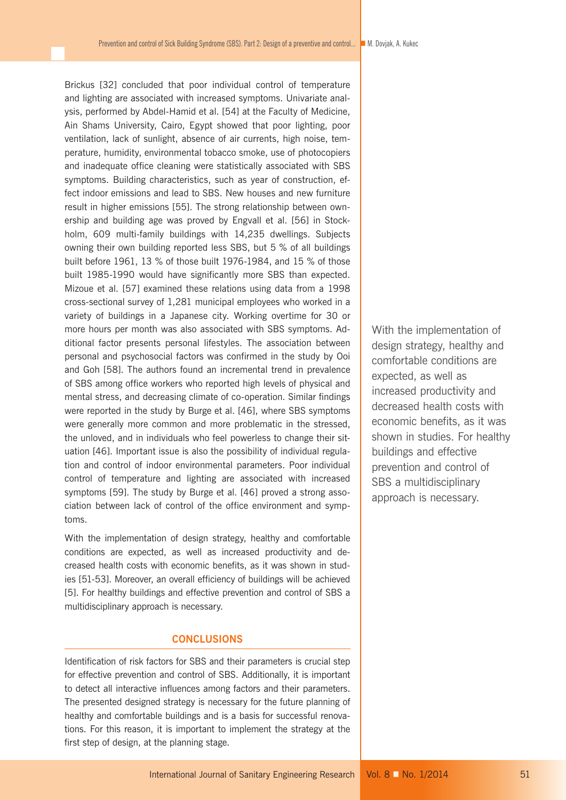Brickus [32] concluded that poor individual control of temperature and lighting are associated with increased symptoms. Univariate analysis, performed by Abdel-Hamid et al. [54] at the Faculty of Medicine, Ain Shams University, Cairo, Egypt showed that poor lighting, poor ventilation, lack of sunlight, absence of air currents, high noise, temperature, humidity, environmental tobacco smoke, use of photocopiers and inadequate office cleaning were statistically associated with SBS symptoms. Building characteristics, such as year of construction, effect indoor emissions and lead to SBS. New houses and new furniture result in higher emissions [55]. The strong relationship between ownership and building age was proved by Engvall et al. [56] in Stockholm, 609 multi-family buildings with 14,235 dwellings. Subjects owning their own building reported less SBS, but 5 % of all buildings built before 1961, 13 % of those built 1976-1984, and 15 % of those built 1985-1990 would have significantly more SBS than expected. Mizoue et al. [57] examined these relations using data from a 1998 cross-sectional survey of 1,281 municipal employees who worked in a variety of buildings in a Japanese city. Working overtime for 30 or more hours per month was also associated with SBS symptoms. Additional factor presents personal lifestyles. The association between personal and psychosocial factors was confirmed in the study by Ooi and Goh [58]. The authors found an incremental trend in prevalence of SBS among office workers who reported high levels of physical and mental stress, and decreasing climate of co-operation. Similar findings were reported in the study by Burge et al. [46], where SBS symptoms were generally more common and more problematic in the stressed, the unloved, and in individuals who feel powerless to change their situation [46]. Important issue is also the possibility of individual regulation and control of indoor environmental parameters. Poor individual control of temperature and lighting are associated with increased symptoms [59]. The study by Burge et al. [46] proved a strong association between lack of control of the office environment and symptoms.

With the implementation of design strategy, healthy and comfortable conditions are expected, as well as increased productivity and decreased health costs with economic benefits, as it was shown in studies [51-53]. Moreover, an overall efficiency of buildings will be achieved [5]. For healthy buildings and effective prevention and control of SBS a multidisciplinary approach is necessary.

# **CONCLUSIONS**

Identification of risk factors for SBS and their parameters is crucial step for effective prevention and control of SBS. Additionally, it is important to detect all interactive influences among factors and their parameters. The presented designed strategy is necessary for the future planning of healthy and comfortable buildings and is a basis for successful renovations. For this reason, it is important to implement the strategy at the first step of design, at the planning stage.

With the implementation of design strategy, healthy and comfortable conditions are expected, as well as increased productivity and decreased health costs with economic benefits, as it was shown in studies. For healthy buildings and effective prevention and control of SBS a multidisciplinary approach is necessary.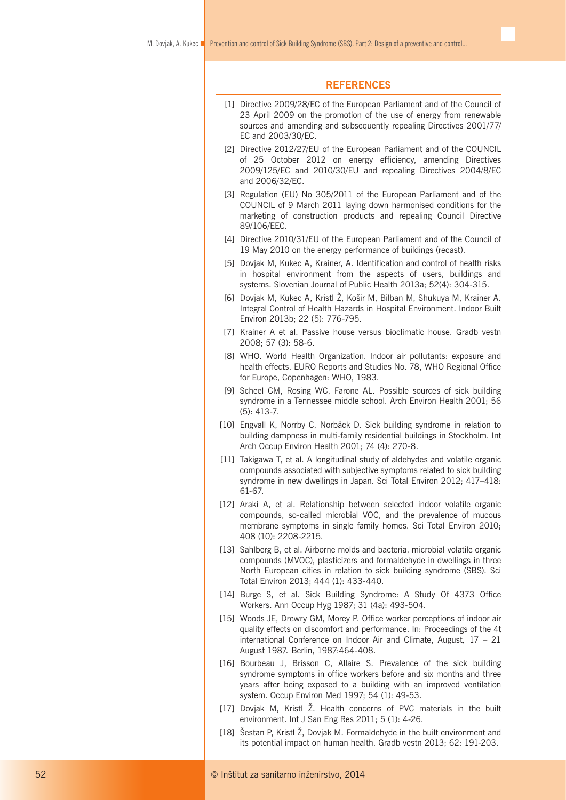### **REFERENCES**

- [1] Directive 2009/28/EC of the European Parliament and of the Council of 23 April 2009 on the promotion of the use of energy from renewable sources and amending and subsequently repealing Directives 2001/77/ EC and 2003/30/EC.
- [2] Directive 2012/27/EU of the European Parliament and of the COUNCIL of 25 October 2012 on energy efficiency, amending Directives 2009/125/EC and 2010/30/EU and repealing Directives 2004/8/EC and 2006/32/EC.
- [3] Regulation (EU) No 305/2011 of the European Parliament and of the COUNCIL of 9 March 2011 laying down harmonised conditions for the marketing of construction products and repealing Council Directive 89/106/EEC.
- [4] Directive 2010/31/EU of the European Parliament and of the Council of 19 May 2010 on the energy performance of buildings (recast).
- [5] Dovjak M, Kukec A, Krainer, A. Identification and control of health risks in hospital environment from the aspects of users, buildings and systems. Slovenian Journal of Public Health 2013a; 52(4): 304-315.
- [6] Dovjak M, Kukec A, Kristl Ž, Košir M, Bilban M, Shukuya M, Krainer A. Integral Control of Health Hazards in Hospital Environment. Indoor Built Environ 2013b; 22 (5): 776-795.
- [7] Krainer A et al. Passive house versus bioclimatic house. Gradb vestn 2008; 57 (3): 58-6.
- [8] WHO. World Health Organization. lndoor air pollutants: exposure and health effects. EURO Reports and Studies No. 78, WHO Regional Office for Europe, Copenhagen: WHO, 1983.
- [9] Scheel CM, Rosing WC, Farone AL. Possible sources of sick building syndrome in a Tennessee middle school. Arch Environ Health 2001; 56 (5): 413-7.
- [10] Engvall K, Norrby C, Norbäck D. Sick building syndrome in relation to building dampness in multi-family residential buildings in Stockholm. Int Arch Occup Environ Health 2001; 74 (4): 270-8.
- [11] Takigawa T, et al. A longitudinal study of aldehydes and volatile organic compounds associated with subjective symptoms related to sick building syndrome in new dwellings in Japan. Sci Total Environ 2012; 417–418: 61-67.
- [12] Araki A, et al. Relationship between selected indoor volatile organic compounds, so-called microbial VOC, and the prevalence of mucous membrane symptoms in single family homes. Sci Total Environ 2010; 408 (10): 2208-2215.
- [13] Sahlberg B, et al. Airborne molds and bacteria, microbial volatile organic compounds (MVOC), plasticizers and formaldehyde in dwellings in three North European cities in relation to sick building syndrome (SBS). Sci Total Environ 2013; 444 (1): 433-440.
- [14] Burge S, et al. Sick Building Syndrome: A Study Of 4373 Office Workers. Ann Occup Hyg 1987; 31 (4a): 493-504.
- [15] Woods JE, Drewry GM, Morey P. Office worker perceptions of indoor air quality effects on discomfort and performance. In: Proceedings of the 4t international Conference on Indoor Air and Climate, August*,* 17 – 21 August 1987*.* Berlin, 1987:464-408.
- [16] Bourbeau J, Brisson C, Allaire S. Prevalence of the sick building syndrome symptoms in office workers before and six months and three years after being exposed to a building with an improved ventilation system. Occup Environ Med 1997; 54 (1): 49-53.
- [17] Dovjak M, Kristl Ž. Health concerns of PVC materials in the built environment. Int J San Eng Res 2011; 5 (1): 4-26.
- [18] Šestan P, Kristl Ž, Dovjak M. Formaldehyde in the built environment and its potential impact on human health. Gradb vestn 2013; 62: 191-203.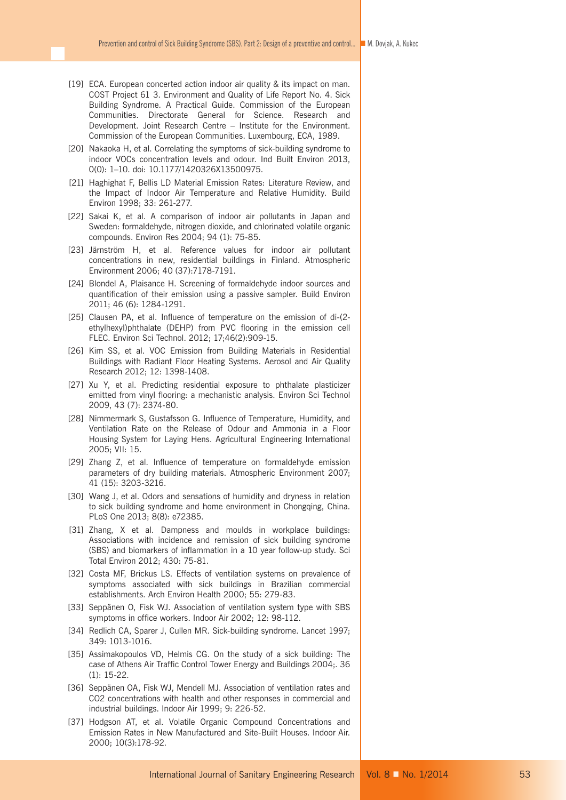- [19] ECA. European concerted action indoor air quality & its impact on man. COST Project 61 3. Environment and Quality of Life Report No. 4. Sick Building Syndrome. A Practical Guide. Commission of the European Communities. Directorate General for Science. Research and Development. Joint Research Centre – Institute for the Environment. Commission of the European Communities. Luxembourg, ECA, 1989.
- [20] Nakaoka H, et al. Correlating the symptoms of sick-building syndrome to indoor VOCs concentration levels and odour. Ind Built Environ 2013, 0(0): 1–10. doi: 10.1177/1420326X13500975.
- [21] Haghighat F, Bellis LD Material Emission Rates: Literature Review, and the Impact of Indoor Air Temperature and Relative Humidity. Build Environ 1998; 33: 261-277.
- [22] Sakai K, et al. A comparison of indoor air pollutants in Japan and Sweden: formaldehyde, nitrogen dioxide, and chlorinated volatile organic compounds. Environ Res 2004; 94 (1): 75-85.
- [23] Järnström H, et al. Reference values for indoor air pollutant concentrations in new, residential buildings in Finland. Atmospheric Environment 2006; 40 (37):7178-7191.
- [24] Blondel A, Plaisance H. Screening of formaldehyde indoor sources and quantification of their emission using a passive sampler. Build Environ 2011; 46 (6): 1284-1291.
- [25] Clausen PA, et al. Influence of temperature on the emission of di-(2ethylhexyl)phthalate (DEHP) from PVC flooring in the emission cell FLEC. Environ Sci Technol. 2012; 17;46(2):909-15.
- [26] Kim SS, et al. VOC Emission from Building Materials in Residential Buildings with Radiant Floor Heating Systems. Aerosol and Air Quality Research 2012; 12: 1398-1408.
- [27] Xu Y, et al. Predicting residential exposure to phthalate plasticizer emitted from vinyl flooring: a mechanistic analysis. Environ Sci Technol 2009, 43 (7): 2374-80.
- [28] Nimmermark S, Gustafsson G. Influence of Temperature, Humidity, and Ventilation Rate on the Release of Odour and Ammonia in a Floor Housing System for Laying Hens. Agricultural Engineering International 2005; VII: 15.
- [29] Zhang Z, et al. Influence of temperature on formaldehyde emission parameters of dry building materials. Atmospheric Environment 2007; 41 (15): 3203-3216.
- [30] Wang J, et al. Odors and sensations of humidity and dryness in relation to sick building syndrome and home environment in Chongqing, China. PLoS One 2013; 8(8): e72385.
- [31] Zhang, X et al. Dampness and moulds in workplace buildings: Associations with incidence and remission of sick building syndrome (SBS) and biomarkers of inflammation in a 10 year follow-up study. Sci Total Environ 2012; 430: 75-81.
- [32] Costa MF, Brickus LS. Effects of ventilation systems on prevalence of symptoms associated with sick buildings in Brazilian commercial establishments. Arch Environ Health 2000; 55: 279-83.
- [33] Seppänen O, Fisk WJ. Association of ventilation system type with SBS symptoms in office workers. Indoor Air 2002; 12: 98-112.
- [34] Redlich CA, Sparer J, Cullen MR. Sick-building syndrome. Lancet 1997; 349: 1013-1016.
- [35] Assimakopoulos VD, Helmis CG. On the study of a sick building: The case of Athens Air Traffic Control Tower Energy and Buildings 2004;. 36 (1): 15-22.
- [36] Seppänen OA, Fisk WJ, Mendell MJ. Association of ventilation rates and CO2 concentrations with health and other responses in commercial and industrial buildings. Indoor Air 1999; 9: 226-52.
- [37] Hodgson AT, et al. Volatile Organic Compound Concentrations and Emission Rates in New Manufactured and Site-Built Houses. Indoor Air. 2000; 10(3):178-92.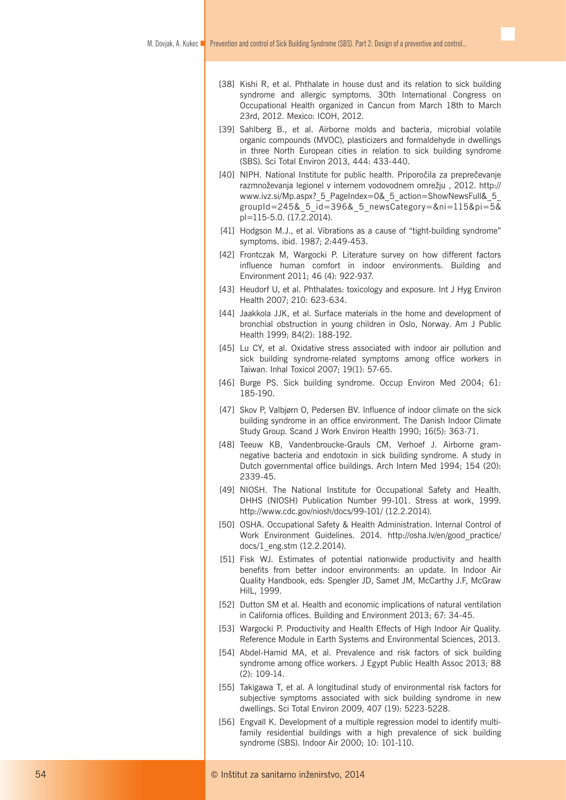- [38] Kishi R, et al. Phthalate in house dust and its relation to sick building syndrome and allergic symptoms. 30th International Congress on Occupational Health organized in Cancun from March 18th to March 23rd, 2012. Mexico: ICOH, 2012.
- [39] Sahlberg B., et al. Airborne molds and bacteria, microbial volatile organic compounds (MVOC), plasticizers and formaldehyde in dwellings in three North European cities in relation to sick building syndrome (SBS). Sci Total Environ 2013, 444: 433-440.
- [40] NIPH. National Institute for public health. Priporočila za preprečevanje razmnoževanja legionel v internem vodovodnem omrežju , 2012. http:// www.ivz.si/Mp.aspx? 5 PageIndex=0& 5 action=ShowNewsFull& 5 groupId=245&\_5\_id=396&\_5\_newsCategory=&ni=115&pi=5& pl=115-5.0. (17.2.2014).
- [41] Hodgson M.J., et al. Vibrations as a cause of "tight-building syndrome" symptoms. ibid. 1987; 2:449-453.
- [42] Frontczak M, Wargocki P. Literature survey on how different factors influence human comfort in indoor environments. Building and Environment 2011; 46 (4): 922-937.
- [43] Heudorf U, et al. Phthalates: toxicology and exposure. Int J Hyg Environ Health 2007; 210: 623-634.
- [44] Jaakkola JJK, et al. Surface materials in the home and development of bronchial obstruction in young children in Oslo, Norway. Am J Public Health 1999; 84(2): 188-192.
- [45] Lu CY, et al. Oxidative stress associated with indoor air pollution and sick building syndrome-related symptoms among office workers in Taiwan. Inhal Toxicol 2007; 19(1): 57-65.
- [46] Burge PS. Sick building syndrome. Occup Environ Med 2004; 61: 185-190.
- [47] Skov P, Valbjørn O, Pedersen BV. Influence of indoor climate on the sick building syndrome in an office environment. The Danish Indoor Climate Study Group. Scand J Work Environ Health 1990; 16(5): 363-71.
- [48] Teeuw KB, Vandenbroucke-Grauls CM, Verhoef J. Airborne gramnegative bacteria and endotoxin in sick building syndrome. A study in Dutch governmental office buildings. Arch Intern Med 1994; 154 (20): 2339-45.
- [49] NIOSH. The National Institute for Occupational Safety and Health. DHHS (NIOSH) Publication Number 99-101. Stress at work, 1999. http://www.cdc.gov/niosh/docs/99-101/ (12.2.2014).
- [50] OSHA. Occupational Safety & Health Administration. Internal Control of Work Environment Guidelines. 2014. http://osha.lv/en/good\_practice/ docs/1\_eng.stm (12.2.2014).
- [51] Fisk WJ. Estimates of potential nationwide productivity and health benefits from better indoor environments: an update. In Indoor Air Quality Handbook, eds: Spengler JD, Samet JM, McCarthy J.F, McGraw HilL, 1999.
- [52] Dutton SM et al. Health and economic implications of natural ventilation in California offices. Building and Environment 2013; 67: 34-45.
- [53] Wargocki P. Productivity and Health Effects of High Indoor Air Quality. Reference Module in Earth Systems and Environmental Sciences, 2013.
- [54] Abdel-Hamid MA, et al. Prevalence and risk factors of sick building syndrome among office workers. J Egypt Public Health Assoc 2013; 88 (2): 109-14.
- [55] Takigawa T, et al. A longitudinal study of environmental risk factors for subjective symptoms associated with sick building syndrome in new dwellings. Sci Total Environ 2009, 407 (19): 5223-5228.
- [56] Engvall K. Development of a multiple regression model to identify multifamily residential buildings with a high prevalence of sick building syndrome (SBS). Indoor Air 2000; 10: 101-110.